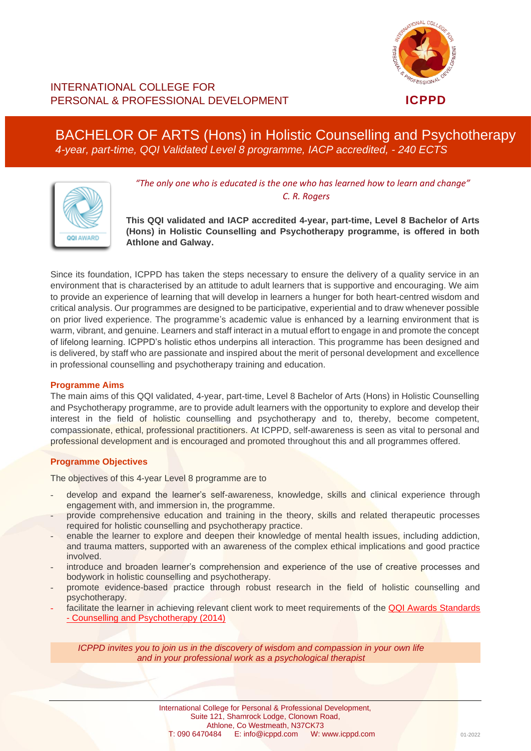

# INTERNATIONAL COLLEGE FOR PERSONAL & PROFESSIONAL DEVELOPMENT **ICPPD**

# BACHELOR OF ARTS (Hons) in Holistic Counselling and Psychotherapy *4-year, part-time, QQI Validated Level 8 programme, IACP accredited, - 240 ECTS*



*"The only one who is educated is the one who has learned how to learn and change" C. R. Rogers*

**This QQI validated and IACP accredited 4-year, part-time, Level 8 Bachelor of Arts (Hons) in Holistic Counselling and Psychotherapy programme, is offered in both Athlone and Galway.**

Since its foundation, ICPPD has taken the steps necessary to ensure the delivery of a quality service in an environment that is characterised by an attitude to adult learners that is supportive and encouraging. We aim to provide an experience of learning that will develop in learners a hunger for both heart-centred wisdom and critical analysis. Our programmes are designed to be participative, experiential and to draw whenever possible on prior lived experience. The programme's academic value is enhanced by a learning environment that is warm, vibrant, and genuine. Learners and staff interact in a mutual effort to engage in and promote the concept of lifelong learning. ICPPD's holistic ethos underpins all interaction. This programme has been designed and is delivered, by staff who are passionate and inspired about the merit of personal development and excellence in professional counselling and psychotherapy training and education.

# **Programme Aims**

The main aims of this QQI validated, 4-year, part-time, Level 8 Bachelor of Arts (Hons) in Holistic Counselling and Psychotherapy programme, are to provide adult learners with the opportunity to explore and develop their interest in the field of holistic counselling and psychotherapy and to, thereby, become competent, compassionate, ethical, professional practitioners. At ICPPD, self-awareness is seen as vital to personal and professional development and is encouraged and promoted throughout this and all programmes offered.

# **Programme Objectives**

The objectives of this 4-year Level 8 programme are to

- develop and expand the learner's self-awareness, knowledge, skills and clinical experience through engagement with, and immersion in, the programme.
- provide comprehensive education and training in the theory, skills and related therapeutic processes required for holistic counselling and psychotherapy practice.
- enable the learner to explore and deepen their knowledge of mental health issues, including addiction, and trauma matters, supported with an awareness of the complex ethical implications and good practice involved.
- introduce and broaden learner's comprehension and experience of the use of creative processes and bodywork in holistic counselling and psychotherapy.
- promote evidence-based practice through robust research in the field of holistic counselling and psychotherapy.
- facilitate the learner in achieving relevant client work to meet requirements of the QQI Awards Standards - [Counselling and Psychotherapy \(2014\)](https://www.qqi.ie/Publications/Publications/Counselling%20and%20Psychotherapy%20-%20QQI%20Award%20Standards%202014.pdf)

*ICPPD invites you to join us in the discovery of wisdom and compassion in your own life and in your professional work as a psychological therapist*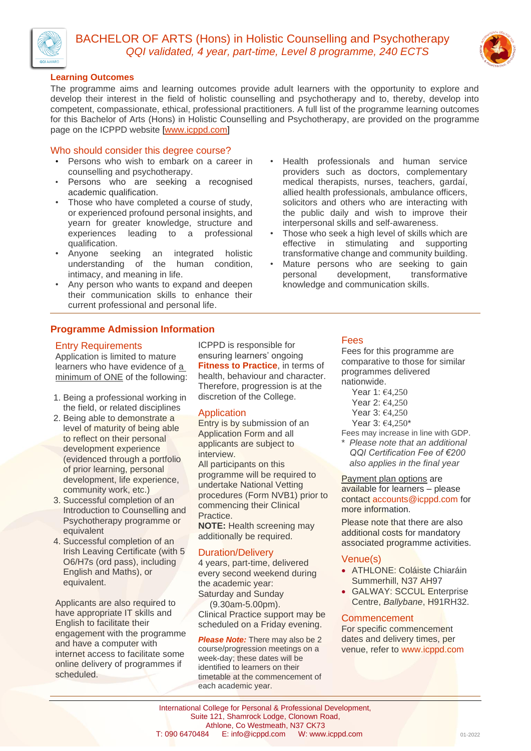



# **Learning Outcomes**

The programme aims and learning outcomes provide adult learners with the opportunity to explore and develop their interest in the field of holistic counselling and psychotherapy and to, thereby, develop into competent, compassionate, ethical, professional practitioners. A full list of the programme learning outcomes for this Bachelor of Arts (Hons) in Holistic Counselling and Psychotherapy, are provided on the programme page on the ICPPD website [\[www.icppd.com\]](http://www.icppd.com/)

# Who should consider this degree course?

- Persons who wish to embark on a career in counselling and psychotherapy.
- Persons who are seeking a recognised academic qualification.
- Those who have completed a course of study, or experienced profound personal insights, and yearn for greater knowledge, structure and experiences leading to a professional qualification.
- Anyone seeking an integrated holistic understanding of the human condition, intimacy, and meaning in life.
- Any person who wants to expand and deepen their communication skills to enhance their current professional and personal life.

# **Programme Admission Information**

# Entry Requirements

Application is limited to mature learners who have evidence of a minimum of ONE of the following:

- 1. Being a professional working in the field, or related disciplines
- 2. Being able to demonstrate a level of maturity of being able to reflect on their personal development experience (evidenced through a portfolio of prior learning, personal development, life experience, community work, etc.)
- 3. Successful completion of an Introduction to Counselling and Psychotherapy programme or equivalent
- 4. Successful completion of an Irish Leaving Certificate (with 5 O6/H7s (ord pass), including English and Maths), or equivalent.

Applicants are also required to have appropriate IT skills and English to facilitate their engagement with the programme and have a computer with internet access to facilitate some online delivery of programmes if scheduled.

ICPPD is responsible for ensuring learners' ongoing **Fitness to Practice**, in terms of health, behaviour and character. Therefore, progression is at the discretion of the College.

# Application

Entry is by submission of an Application Form and all applicants are subject to interview.

All participants on this programme will be required to undertake National Vetting procedures (Form NVB1) prior to commencing their Clinical Practice.

**NOTE:** Health screening may additionally be required.

# Duration/Delivery

4 years, part-time, delivered every second weekend during the academic year: Saturday and Sunday (9.30am-5.00pm). Clinical Practice support may be scheduled on a Friday evening.

**Please Note:** There may also be 2 course/progression meetings on a week-day; these dates will be identified to learners on their timetable at the commencement of each academic year.

## • Health professionals and human service providers such as doctors, complementary medical therapists, nurses, teachers, gardaí, allied health professionals, ambulance officers, solicitors and others who are interacting with the public daily and wish to improve their interpersonal skills and self-awareness.

- Those who seek a high level of skills which are effective in stimulating and supporting transformative change and community building.
- Mature persons who are seeking to gain personal development, transformative knowledge and communication skills.

## Fees

Fees for this programme are comparative to those for similar programmes delivered nationwide.

Year 1: €4,250 Year 2: €4,250

Year 3: €4,250

Year 3: €4,250\*

Fees may increase in line with GDP. \* *Please note that an additional QQI Certification Fee of €200 also applies in the final year*

**Payment plan options are** available for learners – please contact accounts@icppd.com for more information.

Please note that there are also additional costs for mandatory associated programme activities.

# Venue(s)

- ATHLONE: Coláiste Chiaráin Summerhill, N37 AH97
- GALWAY: SCCUL Enterprise Centre, *Ballybane*, H91RH32.

# **Commencement**

For specific commencement dates and delivery times, per venue, refer to [www.icppd.com](http://www.icppd.com/)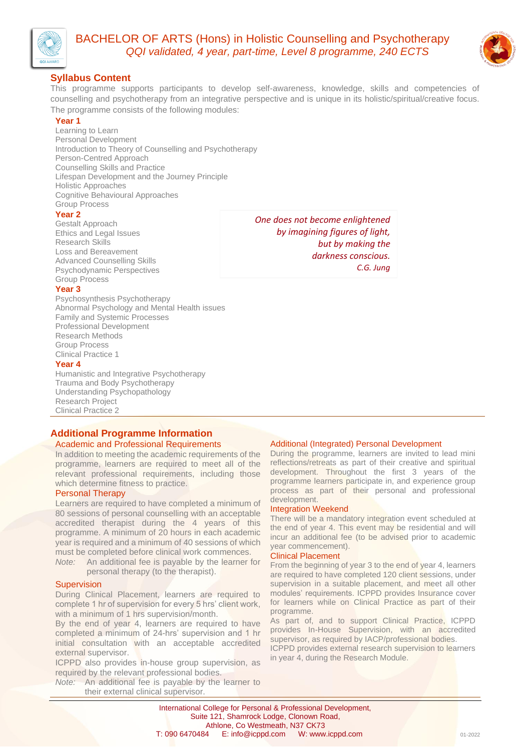

# BACHELOR OF ARTS (Hons) in Holistic Counselling and Psychotherapy *QQI validated, 4 year, part-time, Level 8 programme, 240 ECTS*



# **Syllabus Content**

This programme supports participants to develop self-awareness, knowledge, skills and competencies of counselling and psychotherapy from an integrative perspective and is unique in its holistic/spiritual/creative focus. The programme consists of the following modules:

#### **Year 1**

Learning to Learn Personal Development Introduction to Theory of Counselling and Psychotherapy Person-Centred Approach Counselling Skills and Practice Lifespan Development and the Journey Principle Holistic Approaches Cognitive Behavioural Approaches Group Process

#### **Year 2**

Gestalt Approach Ethics and Legal Issues Research Skills Loss and Bereavement Advanced Counselling Skills Psychodynamic Perspectives Group Process

#### **Year 3**

Psychosynthesis Psychotherapy Abnormal Psychology and Mental Health issues Family and Systemic Processes Professional Development Research Methods Group Process Clinical Practice 1

#### **Year 4**

Humanistic and Integrative Psychotherapy Trauma and Body Psychotherapy Understanding Psychopathology Research Project Clinical Practice 2

# **Additional Programme Information**

## Academic and Professional Requirements

In addition to meeting the academic requirements of the programme, learners are required to meet all of the relevant professional requirements, including those which determine fitness to practice.

## Personal Therapy

Learners are required to have completed a minimum of 80 sessions of personal counselling with an acceptable accredited therapist during the 4 years of this programme. A minimum of 20 hours in each academic year is required and a minimum of 40 sessions of which must be completed before clinical work commences.

*Note:* An additional fee is payable by the learner for personal therapy (to the therapist).

## **Supervision**

During Clinical Placement, learners are required to complete 1 hr of supervision for every 5 hrs' client work, with a minimum of 1 hrs supervision/month.

By the end of year 4, learners are required to have completed a minimum of 24-hrs' supervision and 1 hr initial consultation with an acceptable accredited external supervisor.

ICPPD also provides in-house group supervision, as required by the relevant professional bodies.

*Note:* An additional fee is payable by the learner to their external clinical supervisor.

# Additional (Integrated) Personal Development

During the programme, learners are invited to lead mini reflections/retreats as part of their creative and spiritual development. Throughout the first 3 years of the programme learners participate in, and experience group process as part of their personal and professional development.

#### Integration Weekend

*One does not become enlightened by imagining figures of light,* 

> *but by making the darkness conscious.*

> > *C.G. Jung*

There will be a mandatory integration event scheduled at the end of year 4. This event may be residential and will incur an additional fee (to be advised prior to academic year commencement).

#### Clinical Placement

From the beginning of year 3 to the end of year 4, learners are required to have completed 120 client sessions, under supervision in a suitable placement, and meet all other modules' requirements. ICPPD provides Insurance cover for learners while on Clinical Practice as part of their programme.

As part of, and to support Clinical Practice, ICPPD provides In-House Supervision, with an accredited supervisor, as required by IACP/professional bodies.

ICPPD provides external research supervision to learners in year 4, during the Research Module.

International College for Personal & Professional Development, Suite 121, Shamrock Lodge, Clonown Road, Athlone, Co Westmeath, N37 CK73 T: 090 6470484 E: info@icppd.com W: www.icppd.com 01-2022